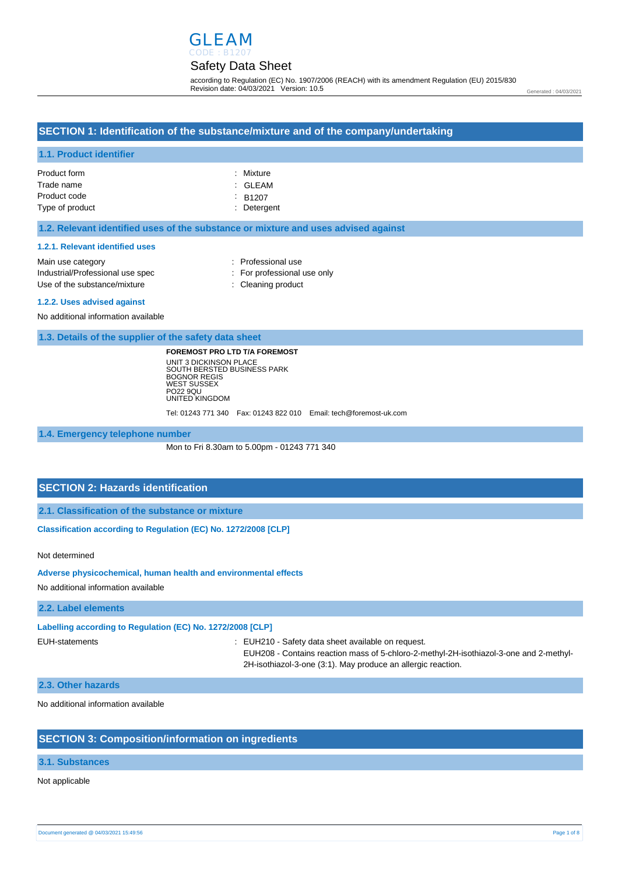

according to Regulation (EC) No. 1907/2006 (REACH) with its amendment Regulation (EU) 2015/830 Revision date: 04/03/2021 Version: 10.5

#### Generated : 04/03/2021

### **SECTION 1: Identification of the substance/mixture and of the company/undertaking**

### **1.1. Product identifier**

| Product form    | : Mixture          |
|-----------------|--------------------|
| Trade name      | : GLEAM            |
| Product code    | $\therefore$ B1207 |
| Type of product | : Detergent        |

#### **1.2. Relevant identified uses of the substance or mixture and uses advised against**

#### **1.2.1. Relevant identified uses**

| Main use category                | : Professional use          |
|----------------------------------|-----------------------------|
| Industrial/Professional use spec | : For professional use only |
| Use of the substance/mixture     | : Cleaning product          |

#### **1.2.2. Uses advised against**

No additional information available

**1.3. Details of the supplier of the safety data sheet**

**FOREMOST PRO LTD T/A FOREMOST** UNIT 3 DICKINSON PLACE SOUTH BERSTED BUSINESS PARK BOGNOR REGIS WEST SUSSEX PO22 9QU UNITED KINGDOM

Tel: 01243 771 340 Fax: 01243 822 010 Email: tech@foremost-uk.com

**1.4. Emergency telephone number**

Mon to Fri 8.30am to 5.00pm - 01243 771 340

### **SECTION 2: Hazards identification**

**2.1. Classification of the substance or mixture**

**Classification according to Regulation (EC) No. 1272/2008 [CLP]** 

Not determined

**Adverse physicochemical, human health and environmental effects** 

No additional information available

### **2.2. Label elements**

**Labelling according to Regulation (EC) No. 1272/2008 [CLP]** 

EUH-statements : EUH210 - Safety data sheet available on request.

EUH208 - Contains reaction mass of 5-chloro-2-methyl-2H-isothiazol-3-one and 2-methyl-2H-isothiazol-3-one (3:1). May produce an allergic reaction.

### **2.3. Other hazards**

No additional information available

### **SECTION 3: Composition/information on ingredients**

### **3.1. Substances**

### Not applicable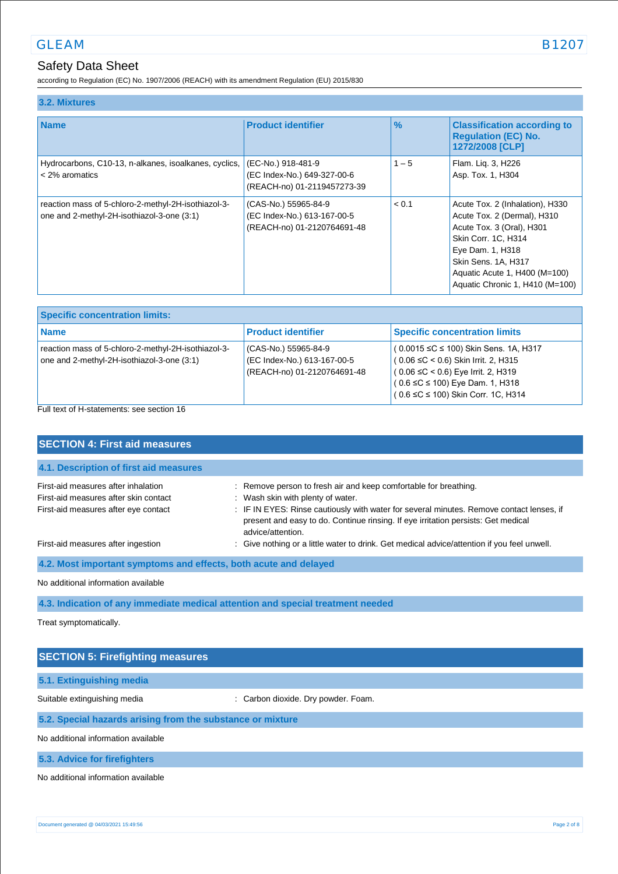according to Regulation (EC) No. 1907/2006 (REACH) with its amendment Regulation (EU) 2015/830

| 3.2. Mixtures                                                                                     |                                                                                    |               |                                                                                                                                                                                                                                   |
|---------------------------------------------------------------------------------------------------|------------------------------------------------------------------------------------|---------------|-----------------------------------------------------------------------------------------------------------------------------------------------------------------------------------------------------------------------------------|
| <b>Name</b>                                                                                       | <b>Product identifier</b>                                                          | $\frac{9}{6}$ | <b>Classification according to</b><br><b>Requlation (EC) No.</b><br>1272/2008 [CLP]                                                                                                                                               |
| Hydrocarbons, C10-13, n-alkanes, isoalkanes, cyclics,<br>< 2% aromatics                           | (EC-No.) 918-481-9<br>(EC Index-No.) 649-327-00-6<br>(REACH-no) 01-2119457273-39   | $1 - 5$       | Flam. Lig. 3, H226<br>Asp. Tox. 1, H304                                                                                                                                                                                           |
| reaction mass of 5-chloro-2-methyl-2H-isothiazol-3-<br>one and 2-methyl-2H-isothiazol-3-one (3:1) | (CAS-No.) 55965-84-9<br>(EC Index-No.) 613-167-00-5<br>(REACH-no) 01-2120764691-48 | < 0.1         | Acute Tox. 2 (Inhalation), H330<br>Acute Tox. 2 (Dermal), H310<br>Acute Tox. 3 (Oral), H301<br>Skin Corr. 1C, H314<br>Eye Dam. 1, H318<br>Skin Sens. 1A, H317<br>Aquatic Acute 1, H400 (M=100)<br>Aquatic Chronic 1, H410 (M=100) |

| <b>Specific concentration limits:</b>                                                               |                                                                                    |                                                                                                                                                                                                                           |
|-----------------------------------------------------------------------------------------------------|------------------------------------------------------------------------------------|---------------------------------------------------------------------------------------------------------------------------------------------------------------------------------------------------------------------------|
| <b>Name</b>                                                                                         | <b>Product identifier</b>                                                          | <b>Specific concentration limits</b>                                                                                                                                                                                      |
| reaction mass of 5-chloro-2-methyl-2H-isothiazol-3-<br>one and 2-methyl-2H-isothiazol-3-one $(3:1)$ | (CAS-No.) 55965-84-9<br>(EC Index-No.) 613-167-00-5<br>(REACH-no) 01-2120764691-48 | $(0.0015 \leq C \leq 100)$ Skin Sens. 1A, H317<br>$(0.06 ≤ C < 0.6)$ Skin Irrit. 2, H315<br>$(0.06 \leq C < 0.6)$ Eye Irrit. 2, H319<br>$(0.6 \leq C \leq 100)$ Eye Dam. 1, H318<br>$(0.6 ≤ C ≤ 100)$ Skin Corr. 1C, H314 |

Full text of H-statements: see section 16

| <b>SECTION 4: First aid measures</b>                                                                                 |                                                                                                                                                                                                                                                                                                             |  |
|----------------------------------------------------------------------------------------------------------------------|-------------------------------------------------------------------------------------------------------------------------------------------------------------------------------------------------------------------------------------------------------------------------------------------------------------|--|
| 4.1. Description of first aid measures                                                                               |                                                                                                                                                                                                                                                                                                             |  |
| First-aid measures after inhalation<br>First-aid measures after skin contact<br>First-aid measures after eye contact | : Remove person to fresh air and keep comfortable for breathing.<br>: Wash skin with plenty of water.<br>: IF IN EYES: Rinse cautiously with water for several minutes. Remove contact lenses, if<br>present and easy to do. Continue rinsing. If eye irritation persists: Get medical<br>advice/attention. |  |
| First-aid measures after ingestion                                                                                   | : Give nothing or a little water to drink. Get medical advice/attention if you feel unwell.                                                                                                                                                                                                                 |  |
| 4.2. Most important symptoms and effects, both acute and delayed                                                     |                                                                                                                                                                                                                                                                                                             |  |
| No additional information available                                                                                  |                                                                                                                                                                                                                                                                                                             |  |
| 4.3. Indication of any immediate medical attention and special treatment needed                                      |                                                                                                                                                                                                                                                                                                             |  |
| Treat symptomatically.                                                                                               |                                                                                                                                                                                                                                                                                                             |  |

| <b>SECTION 5: Firefighting measures</b>                    |                                     |  |
|------------------------------------------------------------|-------------------------------------|--|
| 5.1. Extinguishing media                                   |                                     |  |
| Suitable extinguishing media                               | : Carbon dioxide. Dry powder. Foam. |  |
| 5.2. Special hazards arising from the substance or mixture |                                     |  |
| No additional information available                        |                                     |  |
| 5.3. Advice for firefighters                               |                                     |  |

No additional information available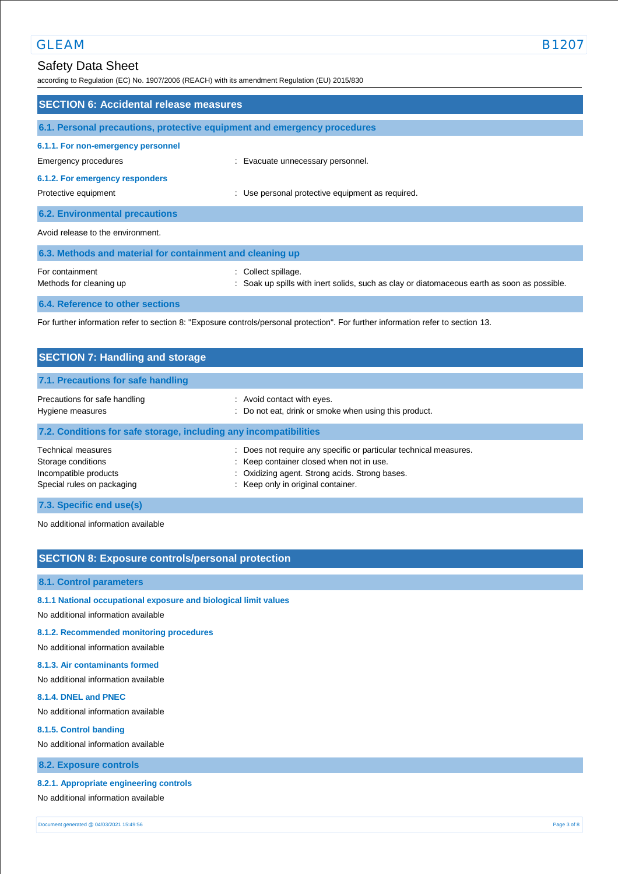according to Regulation (EC) No. 1907/2006 (REACH) with its amendment Regulation (EU) 2015/830

| <b>SECTION 6: Accidental release measures</b>                                                                                     |                                                                                                                    |  |  |
|-----------------------------------------------------------------------------------------------------------------------------------|--------------------------------------------------------------------------------------------------------------------|--|--|
| 6.1. Personal precautions, protective equipment and emergency procedures                                                          |                                                                                                                    |  |  |
| 6.1.1. For non-emergency personnel<br>Emergency procedures                                                                        | : Evacuate unnecessary personnel.                                                                                  |  |  |
| 6.1.2. For emergency responders<br>Protective equipment                                                                           | : Use personal protective equipment as required.                                                                   |  |  |
| <b>6.2. Environmental precautions</b>                                                                                             |                                                                                                                    |  |  |
| Avoid release to the environment.                                                                                                 |                                                                                                                    |  |  |
| 6.3. Methods and material for containment and cleaning up                                                                         |                                                                                                                    |  |  |
| For containment<br>Methods for cleaning up                                                                                        | : Collect spillage.<br>: Soak up spills with inert solids, such as clay or diatomaceous earth as soon as possible. |  |  |
| 6.4. Reference to other sections                                                                                                  |                                                                                                                    |  |  |
| For further information refer to section 8: "Exposure controls/personal protection". For further information refer to section 13. |                                                                                                                    |  |  |

| <b>SECTION 7: Handling and storage</b>                                                          |                                                                                                                                                                                                       |
|-------------------------------------------------------------------------------------------------|-------------------------------------------------------------------------------------------------------------------------------------------------------------------------------------------------------|
| 7.1. Precautions for safe handling                                                              |                                                                                                                                                                                                       |
| Precautions for safe handling<br>Hygiene measures                                               | : Avoid contact with eyes.<br>: Do not eat, drink or smoke when using this product.                                                                                                                   |
| 7.2. Conditions for safe storage, including any incompatibilities                               |                                                                                                                                                                                                       |
| Technical measures<br>Storage conditions<br>Incompatible products<br>Special rules on packaging | : Does not require any specific or particular technical measures.<br>: Keep container closed when not in use.<br>: Oxidizing agent. Strong acids. Strong bases.<br>: Keep only in original container. |
| 7.3. Specific end use(s)                                                                        |                                                                                                                                                                                                       |

No additional information available

## **SECTION 8: Exposure controls/personal protection**

### **8.1. Control parameters**

### **8.1.1 National occupational exposure and biological limit values**

No additional information available

### **8.1.2. Recommended monitoring procedures**

No additional information available

### **8.1.3. Air contaminants formed**

No additional information available

#### **8.1.4. DNEL and PNEC**

No additional information available

#### **8.1.5. Control banding**

No additional information available

### **8.2. Exposure controls**

### **8.2.1. Appropriate engineering controls**

No additional information available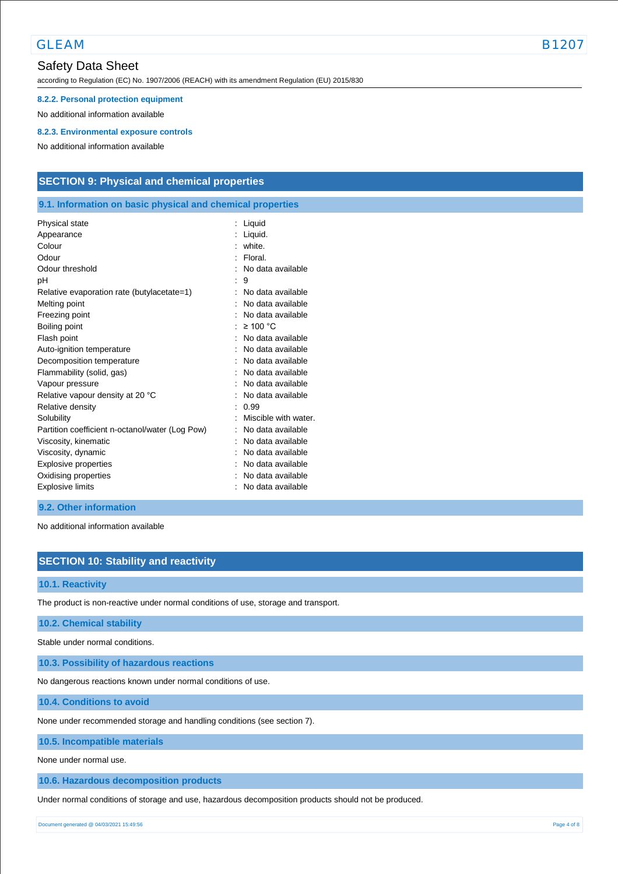GLEAM B1207

according to Regulation (EC) No. 1907/2006 (REACH) with its amendment Regulation (EU) 2015/830

#### **8.2.2. Personal protection equipment**

No additional information available

#### **8.2.3. Environmental exposure controls**

No additional information available

## **SECTION 9: Physical and chemical properties**

### **9.1. Information on basic physical and chemical properties**

| Physical state                                  | Liquid               |
|-------------------------------------------------|----------------------|
| Appearance                                      | Liquid.              |
| Colour                                          | white.               |
| Odour                                           | Floral.              |
| Odour threshold                                 | No data available    |
| рH                                              | 9                    |
| Relative evaporation rate (butylacetate=1)      | No data available    |
| Melting point                                   | No data available    |
| Freezing point                                  | No data available    |
| Boiling point                                   | $\geq 100$ °C        |
| Flash point                                     | No data available    |
| Auto-ignition temperature                       | No data available    |
| Decomposition temperature                       | No data available    |
| Flammability (solid, gas)                       | No data available    |
| Vapour pressure                                 | No data available    |
| Relative vapour density at 20 °C                | No data available    |
| Relative density                                | 0.99                 |
| Solubility                                      | Miscible with water. |
| Partition coefficient n-octanol/water (Log Pow) | No data available    |
| Viscosity, kinematic                            | No data available    |
| Viscosity, dynamic                              | No data available    |
| Explosive properties                            | No data available    |
| Oxidising properties                            | No data available    |
| <b>Explosive limits</b>                         | No data available    |
|                                                 |                      |

### **9.2. Other information**

No additional information available

## **SECTION 10: Stability and reactivity**

### **10.1. Reactivity**

The product is non-reactive under normal conditions of use, storage and transport.

### **10.2. Chemical stability**

Stable under normal conditions.

**10.3. Possibility of hazardous reactions**

No dangerous reactions known under normal conditions of use.

**10.4. Conditions to avoid**

None under recommended storage and handling conditions (see section 7).

**10.5. Incompatible materials**

None under normal use.

**10.6. Hazardous decomposition products**

Under normal conditions of storage and use, hazardous decomposition products should not be produced.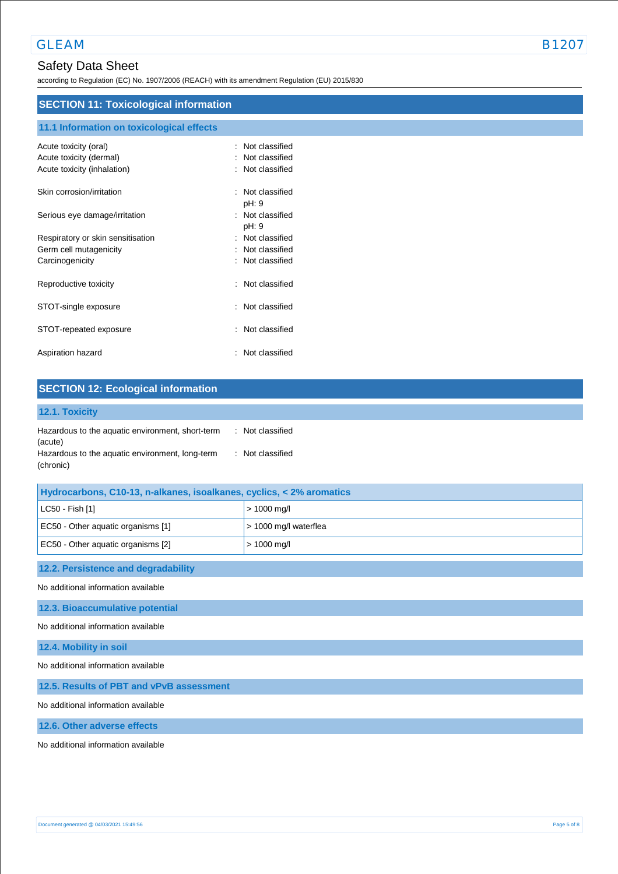according to Regulation (EC) No. 1907/2006 (REACH) with its amendment Regulation (EU) 2015/830

## **SECTION 11: Toxicological information**

# **11.1 Information on toxicological effects**

| Acute toxicity (oral)<br>Acute toxicity (dermal)<br>Acute toxicity (inhalation) | Not classified<br>Not classified<br>Not classified |
|---------------------------------------------------------------------------------|----------------------------------------------------|
| Skin corrosion/irritation                                                       | Not classified<br>pH: 9                            |
| Serious eye damage/irritation                                                   | : Not classified<br>pH: 9                          |
| Respiratory or skin sensitisation                                               | : Not classified                                   |
| Germ cell mutagenicity                                                          | Not classified                                     |
| Carcinogenicity                                                                 | Not classified<br>۰.                               |
| Reproductive toxicity                                                           | Not classified<br>÷.                               |
| STOT-single exposure                                                            | Not classified<br>$\ddot{\phantom{a}}$             |
| STOT-repeated exposure                                                          | Not classified                                     |
| Aspiration hazard                                                               | Not classified                                     |

### **SECTION 12: Ecological information 12.1. Toxicity** Hazardous to the aquatic environment, short-term (acute) : Not classified Hazardous to the aquatic environment, long-term (chronic) : Not classified

| Hydrocarbons, C10-13, n-alkanes, isoalkanes, cyclics, < 2% aromatics |                       |
|----------------------------------------------------------------------|-----------------------|
| $ $ LC50 - Fish [1]                                                  | $> 1000$ mg/l         |
| EC50 - Other aquatic organisms [1]                                   | > 1000 mg/l waterflea |
| EC50 - Other aquatic organisms [2]                                   | $> 1000$ mg/l         |

### **12.2. Persistence and degradability**

No additional information available

### **12.3. Bioaccumulative potential**

No additional information available

### **12.4. Mobility in soil**

No additional information available

#### **12.5. Results of PBT and vPvB assessment**

No additional information available

### **12.6. Other adverse effects**

No additional information available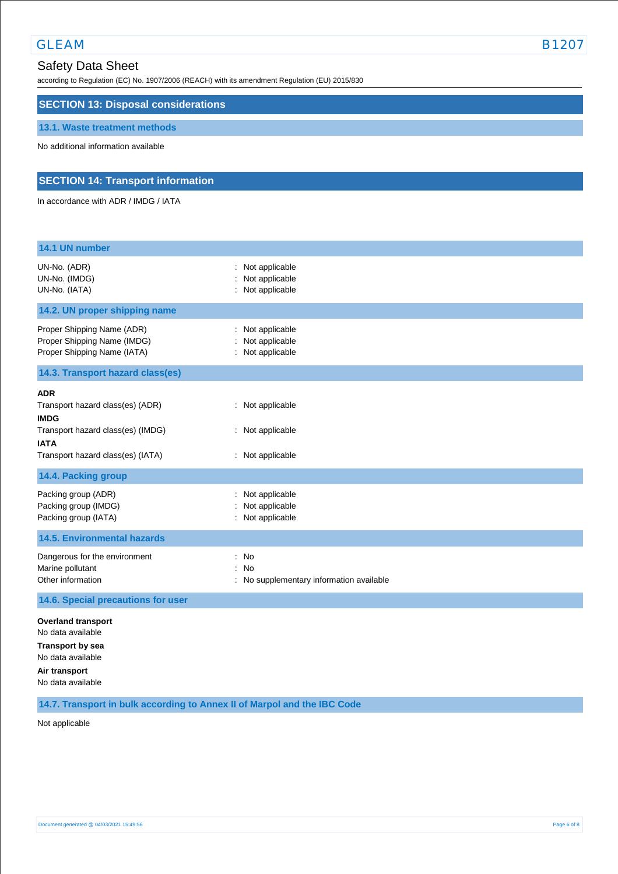# GLEAM B1207

# Safety Data Sheet

according to Regulation (EC) No. 1907/2006 (REACH) with its amendment Regulation (EU) 2015/830

## **SECTION 13: Disposal considerations**

### **13.1. Waste treatment methods**

No additional information available

## **SECTION 14: Transport information**

In accordance with ADR / IMDG / IATA

| 14.1 UN number                                                                                                                                         |                                                                             |
|--------------------------------------------------------------------------------------------------------------------------------------------------------|-----------------------------------------------------------------------------|
| UN-No. (ADR)<br>UN-No. (IMDG)<br>UN-No. (IATA)                                                                                                         | Not applicable<br>Not applicable<br>Not applicable                          |
| 14.2. UN proper shipping name                                                                                                                          |                                                                             |
| Proper Shipping Name (ADR)<br>Proper Shipping Name (IMDG)<br>Proper Shipping Name (IATA)                                                               | Not applicable<br>Not applicable<br>Not applicable                          |
| 14.3. Transport hazard class(es)                                                                                                                       |                                                                             |
| <b>ADR</b><br>Transport hazard class(es) (ADR)<br><b>IMDG</b><br>Transport hazard class(es) (IMDG)<br><b>IATA</b><br>Transport hazard class(es) (IATA) | : Not applicable<br>: Not applicable<br>: Not applicable                    |
| 14.4. Packing group                                                                                                                                    |                                                                             |
| Packing group (ADR)<br>Packing group (IMDG)<br>Packing group (IATA)                                                                                    | Not applicable<br>Not applicable<br>Not applicable                          |
| <b>14.5. Environmental hazards</b>                                                                                                                     |                                                                             |
| Dangerous for the environment<br>Marine pollutant<br>Other information                                                                                 | No<br>÷<br><b>No</b><br>$\cdot$<br>: No supplementary information available |
| 14.6. Special precautions for user                                                                                                                     |                                                                             |
| <b>Overland transport</b><br>No data available<br><b>Transport by sea</b><br>No data available<br>Air transport<br>No data available                   |                                                                             |

### **14.7. Transport in bulk according to Annex II of Marpol and the IBC Code**

Not applicable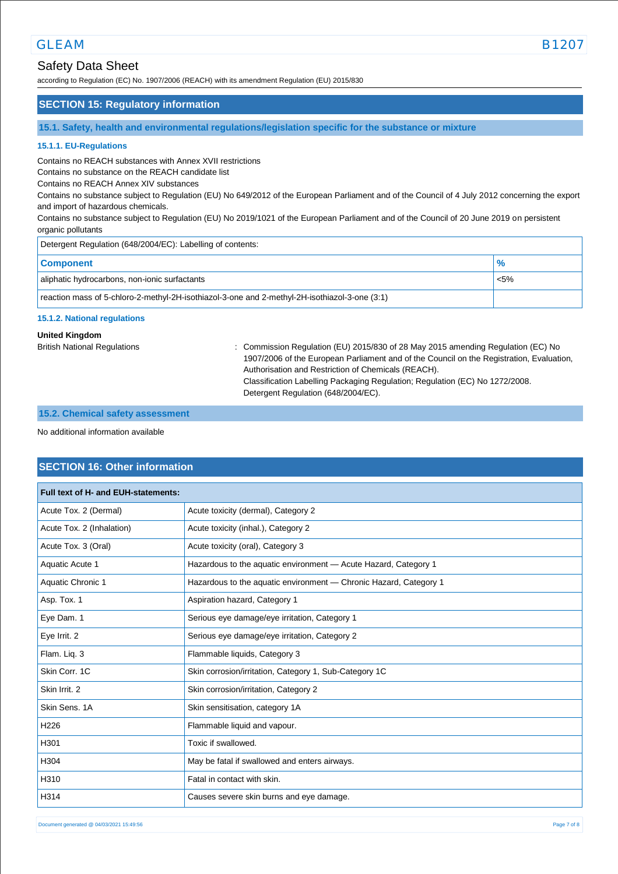according to Regulation (EC) No. 1907/2006 (REACH) with its amendment Regulation (EU) 2015/830

### **SECTION 15: Regulatory information**

**15.1. Safety, health and environmental regulations/legislation specific for the substance or mixture**

#### **15.1.1. EU-Regulations**

Contains no REACH substances with Annex XVII restrictions

Contains no substance on the REACH candidate list

Contains no REACH Annex XIV substances

Contains no substance subject to Regulation (EU) No 649/2012 of the European Parliament and of the Council of 4 July 2012 concerning the export and import of hazardous chemicals.

Contains no substance subject to Regulation (EU) No 2019/1021 of the European Parliament and of the Council of 20 June 2019 on persistent organic pollutants

| Detergent Regulation (648/2004/EC): Labelling of contents:                                    |         |  |
|-----------------------------------------------------------------------------------------------|---------|--|
| <b>Component</b>                                                                              |         |  |
| aliphatic hydrocarbons, non-ionic surfactants                                                 | $< 5\%$ |  |
| reaction mass of 5-chloro-2-methyl-2H-isothiazol-3-one and 2-methyl-2H-isothiazol-3-one (3:1) |         |  |

#### **15.1.2. National regulations**

### **United Kingdom**

British National Regulations : Commission Regulation (EU) 2015/830 of 28 May 2015 amending Regulation (EC) No 1907/2006 of the European Parliament and of the Council on the Registration, Evaluation, Authorisation and Restriction of Chemicals (REACH). Classification Labelling Packaging Regulation; Regulation (EC) No 1272/2008. Detergent Regulation (648/2004/EC).

### **15.2. Chemical safety assessment**

No additional information available

## **SECTION 16: Other information**

| Full text of H- and EUH-statements: |                                                                   |  |
|-------------------------------------|-------------------------------------------------------------------|--|
| Acute Tox. 2 (Dermal)               | Acute toxicity (dermal), Category 2                               |  |
| Acute Tox. 2 (Inhalation)           | Acute toxicity (inhal.), Category 2                               |  |
| Acute Tox. 3 (Oral)                 | Acute toxicity (oral), Category 3                                 |  |
| Aquatic Acute 1                     | Hazardous to the aquatic environment - Acute Hazard, Category 1   |  |
| Aquatic Chronic 1                   | Hazardous to the aquatic environment - Chronic Hazard, Category 1 |  |
| Asp. Tox. 1                         | Aspiration hazard, Category 1                                     |  |
| Eye Dam. 1                          | Serious eye damage/eye irritation, Category 1                     |  |
| Eye Irrit. 2                        | Serious eye damage/eye irritation, Category 2                     |  |
| Flam. Liq. 3                        | Flammable liquids, Category 3                                     |  |
| Skin Corr. 1C                       | Skin corrosion/irritation, Category 1, Sub-Category 1C            |  |
| Skin Irrit. 2                       | Skin corrosion/irritation, Category 2                             |  |
| Skin Sens, 1A                       | Skin sensitisation, category 1A                                   |  |
| H <sub>226</sub>                    | Flammable liquid and vapour.                                      |  |
| H301                                | Toxic if swallowed.                                               |  |
| H304                                | May be fatal if swallowed and enters airways.                     |  |
| H310                                | Fatal in contact with skin.                                       |  |
| H314                                | Causes severe skin burns and eye damage.                          |  |